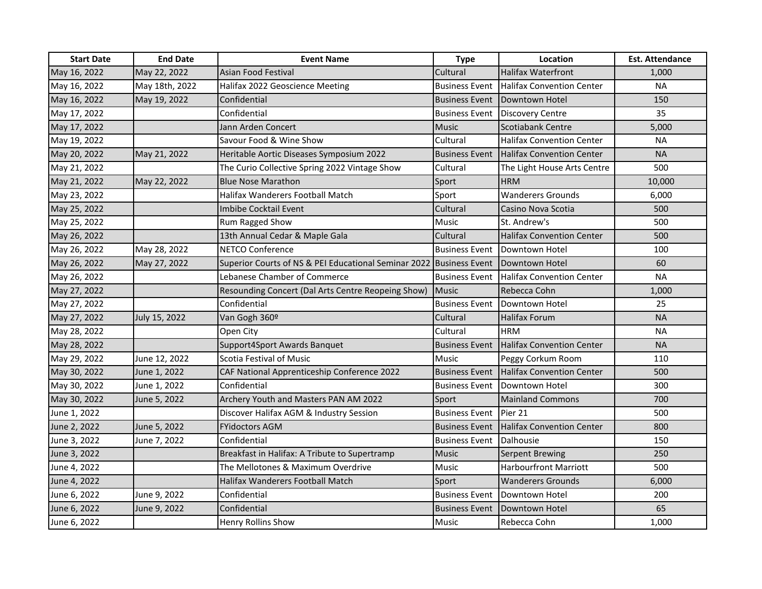| <b>Start Date</b> | <b>End Date</b> | <b>Event Name</b>                                                   | <b>Type</b>           | Location                         | <b>Est. Attendance</b> |
|-------------------|-----------------|---------------------------------------------------------------------|-----------------------|----------------------------------|------------------------|
| May 16, 2022      | May 22, 2022    | <b>Asian Food Festival</b>                                          | Cultural              | <b>Halifax Waterfront</b>        | 1,000                  |
| May 16, 2022      | May 18th, 2022  | Halifax 2022 Geoscience Meeting                                     | <b>Business Event</b> | Halifax Convention Center        | <b>NA</b>              |
| May 16, 2022      | May 19, 2022    | Confidential                                                        | <b>Business Event</b> | Downtown Hotel                   | 150                    |
| May 17, 2022      |                 | Confidential                                                        | <b>Business Event</b> | Discovery Centre                 | 35                     |
| May 17, 2022      |                 | Jann Arden Concert                                                  | <b>Music</b>          | Scotiabank Centre                | 5,000                  |
| May 19, 2022      |                 | Savour Food & Wine Show                                             | Cultural              | <b>Halifax Convention Center</b> | <b>NA</b>              |
| May 20, 2022      | May 21, 2022    | Heritable Aortic Diseases Symposium 2022                            | <b>Business Event</b> | <b>Halifax Convention Center</b> | <b>NA</b>              |
| May 21, 2022      |                 | The Curio Collective Spring 2022 Vintage Show                       | Cultural              | The Light House Arts Centre      | 500                    |
| May 21, 2022      | May 22, 2022    | <b>Blue Nose Marathon</b>                                           | Sport                 | <b>HRM</b>                       | 10,000                 |
| May 23, 2022      |                 | Halifax Wanderers Football Match                                    | Sport                 | <b>Wanderers Grounds</b>         | 6,000                  |
| May 25, 2022      |                 | Imbibe Cocktail Event                                               | Cultural              | Casino Nova Scotia               | 500                    |
| May 25, 2022      |                 | Rum Ragged Show                                                     | Music                 | St. Andrew's                     | 500                    |
| May 26, 2022      |                 | 13th Annual Cedar & Maple Gala                                      | Cultural              | <b>Halifax Convention Center</b> | 500                    |
| May 26, 2022      | May 28, 2022    | <b>NETCO Conference</b>                                             | <b>Business Event</b> | Downtown Hotel                   | 100                    |
| May 26, 2022      | May 27, 2022    | Superior Courts of NS & PEI Educational Seminar 2022 Business Event |                       | Downtown Hotel                   | 60                     |
| May 26, 2022      |                 | Lebanese Chamber of Commerce                                        | <b>Business Event</b> | <b>Halifax Convention Center</b> | <b>NA</b>              |
| May 27, 2022      |                 | Resounding Concert (Dal Arts Centre Reopeing Show)                  | <b>Music</b>          | Rebecca Cohn                     | 1,000                  |
| May 27, 2022      |                 | Confidential                                                        | <b>Business Event</b> | Downtown Hotel                   | 25                     |
| May 27, 2022      | July 15, 2022   | Van Gogh 360º                                                       | Cultural              | <b>Halifax Forum</b>             | <b>NA</b>              |
| May 28, 2022      |                 | Open City                                                           | Cultural              | <b>HRM</b>                       | <b>NA</b>              |
| May 28, 2022      |                 | Support4Sport Awards Banquet                                        | <b>Business Event</b> | <b>Halifax Convention Center</b> | <b>NA</b>              |
| May 29, 2022      | June 12, 2022   | Scotia Festival of Music                                            | Music                 | Peggy Corkum Room                | 110                    |
| May 30, 2022      | June 1, 2022    | CAF National Apprenticeship Conference 2022                         | <b>Business Event</b> | <b>Halifax Convention Center</b> | 500                    |
| May 30, 2022      | June 1, 2022    | Confidential                                                        | <b>Business Event</b> | Downtown Hotel                   | 300                    |
| May 30, 2022      | June 5, 2022    | Archery Youth and Masters PAN AM 2022                               | Sport                 | <b>Mainland Commons</b>          | 700                    |
| June 1, 2022      |                 | Discover Halifax AGM & Industry Session                             | <b>Business Event</b> | Pier 21                          | 500                    |
| June 2, 2022      | June 5, 2022    | <b>FYidoctors AGM</b>                                               | <b>Business Event</b> | <b>Halifax Convention Center</b> | 800                    |
| June 3, 2022      | June 7, 2022    | Confidential                                                        | <b>Business Event</b> | <b>I</b> Dalhousie               | 150                    |
| June 3, 2022      |                 | Breakfast in Halifax: A Tribute to Supertramp                       | <b>Music</b>          | Serpent Brewing                  | 250                    |
| June 4, 2022      |                 | The Mellotones & Maximum Overdrive                                  | Music                 | <b>Harbourfront Marriott</b>     | 500                    |
| June 4, 2022      |                 | <b>Halifax Wanderers Football Match</b>                             | Sport                 | <b>Wanderers Grounds</b>         | 6,000                  |
| June 6, 2022      | June 9, 2022    | Confidential                                                        | <b>Business Event</b> | Downtown Hotel                   | 200                    |
| June 6, 2022      | June 9, 2022    | Confidential                                                        | <b>Business Event</b> | Downtown Hotel                   | 65                     |
| June 6, 2022      |                 | <b>Henry Rollins Show</b>                                           | Music                 | Rebecca Cohn                     | 1,000                  |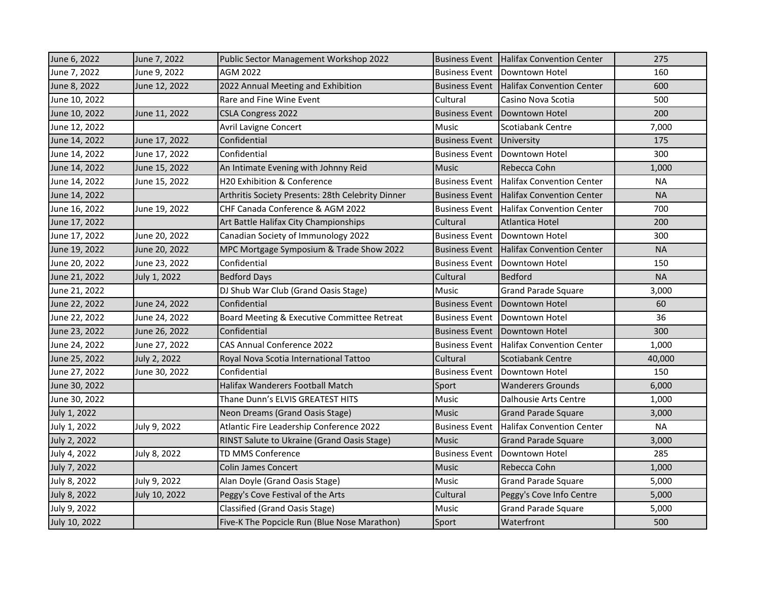| June 6, 2022  | June 7, 2022  | Public Sector Management Workshop 2022            | <b>Business Event</b> | Halifax Convention Center        | 275       |
|---------------|---------------|---------------------------------------------------|-----------------------|----------------------------------|-----------|
| June 7, 2022  | June 9, 2022  | AGM 2022                                          | <b>Business Event</b> | Downtown Hotel                   | 160       |
| June 8, 2022  | June 12, 2022 | 2022 Annual Meeting and Exhibition                | <b>Business Event</b> | Halifax Convention Center        | 600       |
| June 10, 2022 |               | Rare and Fine Wine Event                          | Cultural              | Casino Nova Scotia               | 500       |
| June 10, 2022 | June 11, 2022 | <b>CSLA Congress 2022</b>                         | <b>Business Event</b> | Downtown Hotel                   | 200       |
| June 12, 2022 |               | <b>Avril Lavigne Concert</b>                      | <b>Music</b>          | Scotiabank Centre                | 7,000     |
| June 14, 2022 | June 17, 2022 | Confidential                                      | <b>Business Event</b> | University                       | 175       |
| June 14, 2022 | June 17, 2022 | Confidential                                      | <b>Business Event</b> | Downtown Hotel                   | 300       |
| June 14, 2022 | June 15, 2022 | An Intimate Evening with Johnny Reid              | Music                 | Rebecca Cohn                     | 1,000     |
| June 14, 2022 | June 15, 2022 | H20 Exhibition & Conference                       | <b>Business Event</b> | <b>Halifax Convention Center</b> | <b>NA</b> |
| June 14, 2022 |               | Arthritis Society Presents: 28th Celebrity Dinner | <b>Business Event</b> | Halifax Convention Center        | <b>NA</b> |
| June 16, 2022 | June 19, 2022 | CHF Canada Conference & AGM 2022                  | <b>Business Event</b> | <b>Halifax Convention Center</b> | 700       |
| June 17, 2022 |               | Art Battle Halifax City Championships             | Cultural              | Atlantica Hotel                  | 200       |
| June 17, 2022 | June 20, 2022 | Canadian Society of Immunology 2022               | <b>Business Event</b> | Downtown Hotel                   | 300       |
| June 19, 2022 | June 20, 2022 | MPC Mortgage Symposium & Trade Show 2022          | <b>Business Event</b> | Halifax Convention Center        | <b>NA</b> |
| June 20, 2022 | June 23, 2022 | Confidential                                      | <b>Business Event</b> | Downtown Hotel                   | 150       |
| June 21, 2022 | July 1, 2022  | <b>Bedford Days</b>                               | Cultural              | <b>Bedford</b>                   | <b>NA</b> |
| June 21, 2022 |               | DJ Shub War Club (Grand Oasis Stage)              | Music                 | <b>Grand Parade Square</b>       | 3,000     |
| June 22, 2022 | June 24, 2022 | Confidential                                      | <b>Business Event</b> | Downtown Hotel                   | 60        |
| June 22, 2022 | June 24, 2022 | Board Meeting & Executive Committee Retreat       | <b>Business Event</b> | Downtown Hotel                   | 36        |
| June 23, 2022 | June 26, 2022 | Confidential                                      | <b>Business Event</b> | Downtown Hotel                   | 300       |
| June 24, 2022 | June 27, 2022 | CAS Annual Conference 2022                        | <b>Business Event</b> | <b>Halifax Convention Center</b> | 1,000     |
| June 25, 2022 | July 2, 2022  | Royal Nova Scotia International Tattoo            | Cultural              | Scotiabank Centre                | 40,000    |
| June 27, 2022 | June 30, 2022 | Confidential                                      | <b>Business Event</b> | Downtown Hotel                   | 150       |
| June 30, 2022 |               | Halifax Wanderers Football Match                  | Sport                 | <b>Wanderers Grounds</b>         | 6,000     |
| June 30, 2022 |               | Thane Dunn's ELVIS GREATEST HITS                  | <b>Music</b>          | Dalhousie Arts Centre            | 1,000     |
| July 1, 2022  |               | Neon Dreams (Grand Oasis Stage)                   | <b>Music</b>          | <b>Grand Parade Square</b>       | 3,000     |
| July 1, 2022  | July 9, 2022  | Atlantic Fire Leadership Conference 2022          | <b>Business Event</b> | Halifax Convention Center        | <b>NA</b> |
| July 2, 2022  |               | RINST Salute to Ukraine (Grand Oasis Stage)       | <b>Music</b>          | <b>Grand Parade Square</b>       | 3,000     |
| July 4, 2022  | July 8, 2022  | TD MMS Conference                                 | <b>Business Event</b> | Downtown Hotel                   | 285       |
| July 7, 2022  |               | <b>Colin James Concert</b>                        | <b>Music</b>          | Rebecca Cohn                     | 1,000     |
| July 8, 2022  | July 9, 2022  | Alan Doyle (Grand Oasis Stage)                    | Music                 | <b>Grand Parade Square</b>       | 5,000     |
| July 8, 2022  | July 10, 2022 | Peggy's Cove Festival of the Arts                 | Cultural              | Peggy's Cove Info Centre         | 5,000     |
| July 9, 2022  |               | <b>Classified (Grand Oasis Stage)</b>             | Music                 | <b>Grand Parade Square</b>       | 5,000     |
| July 10, 2022 |               | Five-K The Popcicle Run (Blue Nose Marathon)      | Sport                 | Waterfront                       | 500       |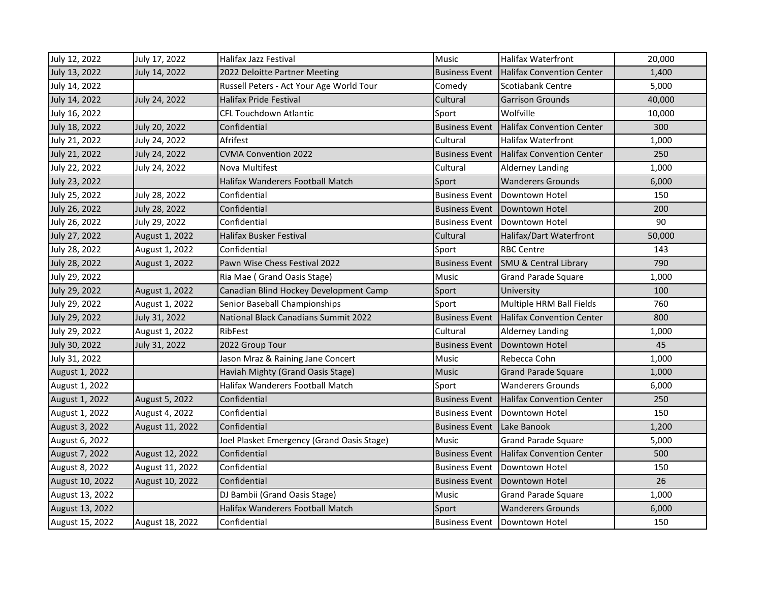| July 12, 2022   | July 17, 2022   | Halifax Jazz Festival                      | Music                 | <b>Halifax Waterfront</b>        | 20,000 |
|-----------------|-----------------|--------------------------------------------|-----------------------|----------------------------------|--------|
| July 13, 2022   | July 14, 2022   | 2022 Deloitte Partner Meeting              | <b>Business Event</b> | <b>Halifax Convention Center</b> | 1,400  |
| July 14, 2022   |                 | Russell Peters - Act Your Age World Tour   | Comedy                | Scotiabank Centre                | 5,000  |
| July 14, 2022   | July 24, 2022   | Halifax Pride Festival                     | Cultural              | <b>Garrison Grounds</b>          | 40,000 |
| July 16, 2022   |                 | <b>CFL Touchdown Atlantic</b>              | Sport                 | Wolfville                        | 10,000 |
| July 18, 2022   | July 20, 2022   | Confidential                               | <b>Business Event</b> | Halifax Convention Center        | 300    |
| July 21, 2022   | July 24, 2022   | Afrifest                                   | Cultural              | <b>Halifax Waterfront</b>        | 1,000  |
| July 21, 2022   | July 24, 2022   | <b>CVMA Convention 2022</b>                | <b>Business Event</b> | Halifax Convention Center        | 250    |
| July 22, 2022   | July 24, 2022   | Nova Multifest                             | Cultural              | <b>Alderney Landing</b>          | 1,000  |
| July 23, 2022   |                 | <b>Halifax Wanderers Football Match</b>    | Sport                 | <b>Wanderers Grounds</b>         | 6,000  |
| July 25, 2022   | July 28, 2022   | Confidential                               | <b>Business Event</b> | Downtown Hotel                   | 150    |
| July 26, 2022   | July 28, 2022   | Confidential                               | <b>Business Event</b> | Downtown Hotel                   | 200    |
| July 26, 2022   | July 29, 2022   | Confidential                               | <b>Business Event</b> | <b>IDowntown Hotel</b>           | 90     |
| July 27, 2022   | August 1, 2022  | Halifax Busker Festival                    | Cultural              | Halifax/Dart Waterfront          | 50,000 |
| July 28, 2022   | August 1, 2022  | Confidential                               | Sport                 | <b>RBC Centre</b>                | 143    |
| July 28, 2022   | August 1, 2022  | Pawn Wise Chess Festival 2022              | <b>Business Event</b> | <b>SMU &amp; Central Library</b> | 790    |
| July 29, 2022   |                 | Ria Mae (Grand Oasis Stage)                | Music                 | <b>Grand Parade Square</b>       | 1,000  |
| July 29, 2022   | August 1, 2022  | Canadian Blind Hockey Development Camp     | Sport                 | University                       | 100    |
| July 29, 2022   | August 1, 2022  | Senior Baseball Championships              | Sport                 | Multiple HRM Ball Fields         | 760    |
| July 29, 2022   | July 31, 2022   | National Black Canadians Summit 2022       | <b>Business Event</b> | <b>Halifax Convention Center</b> | 800    |
| July 29, 2022   | August 1, 2022  | RibFest                                    | Cultural              | <b>Alderney Landing</b>          | 1,000  |
| July 30, 2022   | July 31, 2022   | 2022 Group Tour                            | <b>Business Event</b> | Downtown Hotel                   | 45     |
| July 31, 2022   |                 | Jason Mraz & Raining Jane Concert          | Music                 | Rebecca Cohn                     | 1,000  |
| August 1, 2022  |                 | Haviah Mighty (Grand Oasis Stage)          | Music                 | <b>Grand Parade Square</b>       | 1,000  |
| August 1, 2022  |                 | <b>Halifax Wanderers Football Match</b>    | Sport                 | <b>Wanderers Grounds</b>         | 6,000  |
| August 1, 2022  | August 5, 2022  | Confidential                               | <b>Business Event</b> | Halifax Convention Center        | 250    |
| August 1, 2022  | August 4, 2022  | Confidential                               | <b>Business Event</b> | <b>IDowntown Hotel</b>           | 150    |
| August 3, 2022  | August 11, 2022 | Confidential                               | <b>Business Event</b> | Lake Banook                      | 1,200  |
| August 6, 2022  |                 | Joel Plasket Emergency (Grand Oasis Stage) | <b>Music</b>          | <b>Grand Parade Square</b>       | 5,000  |
| August 7, 2022  | August 12, 2022 | Confidential                               | <b>Business Event</b> | Halifax Convention Center        | 500    |
| August 8, 2022  | August 11, 2022 | Confidential                               | <b>Business Event</b> | Downtown Hotel                   | 150    |
| August 10, 2022 | August 10, 2022 | Confidential                               | <b>Business Event</b> | Downtown Hotel                   | 26     |
| August 13, 2022 |                 | DJ Bambii (Grand Oasis Stage)              | Music                 | <b>Grand Parade Square</b>       | 1,000  |
| August 13, 2022 |                 | Halifax Wanderers Football Match           | Sport                 | <b>Wanderers Grounds</b>         | 6,000  |
| August 15, 2022 | August 18, 2022 | Confidential                               | <b>Business Event</b> | Downtown Hotel                   | 150    |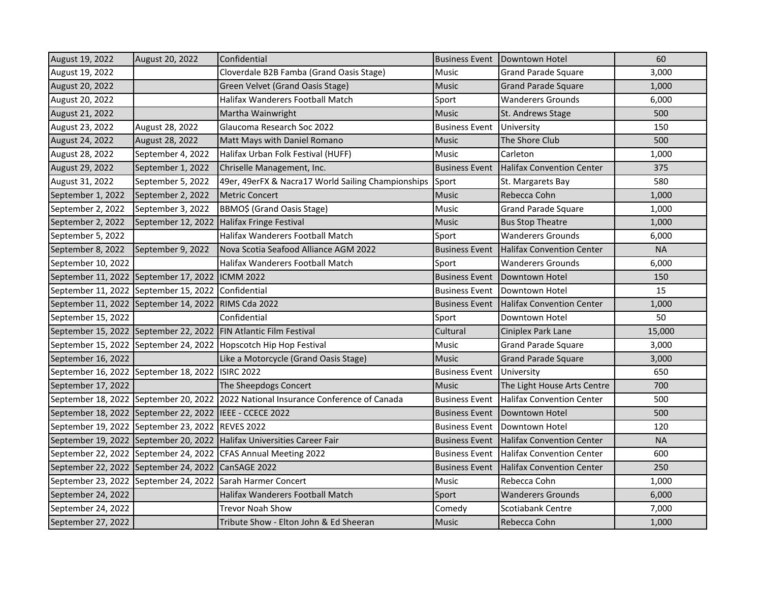| August 19, 2022    | August 20, 2022                                         | Confidential                                                                       | <b>Business Event</b> | Downtown Hotel                   | 60        |
|--------------------|---------------------------------------------------------|------------------------------------------------------------------------------------|-----------------------|----------------------------------|-----------|
| August 19, 2022    |                                                         | Cloverdale B2B Famba (Grand Oasis Stage)                                           | Music                 | <b>Grand Parade Square</b>       | 3,000     |
| August 20, 2022    |                                                         | Green Velvet (Grand Oasis Stage)                                                   | <b>Music</b>          | <b>Grand Parade Square</b>       | 1,000     |
| August 20, 2022    |                                                         | Halifax Wanderers Football Match                                                   | Sport                 | <b>Wanderers Grounds</b>         | 6,000     |
| August 21, 2022    |                                                         | Martha Wainwright                                                                  | <b>Music</b>          | St. Andrews Stage                | 500       |
| August 23, 2022    | August 28, 2022                                         | Glaucoma Research Soc 2022                                                         | <b>Business Event</b> | University                       | 150       |
| August 24, 2022    | August 28, 2022                                         | Matt Mays with Daniel Romano                                                       | Music                 | The Shore Club                   | 500       |
| August 28, 2022    | September 4, 2022                                       | Halifax Urban Folk Festival (HUFF)                                                 | Music                 | Carleton                         | 1,000     |
| August 29, 2022    | September 1, 2022                                       | Chriselle Management, Inc.                                                         | <b>Business Event</b> | <b>Halifax Convention Center</b> | 375       |
| August 31, 2022    | September 5, 2022                                       | 49er, 49erFX & Nacra17 World Sailing Championships                                 | Sport                 | St. Margarets Bay                | 580       |
| September 1, 2022  | September 2, 2022                                       | <b>Metric Concert</b>                                                              | <b>Music</b>          | Rebecca Cohn                     | 1,000     |
| September 2, 2022  | September 3, 2022                                       | BBMO\$ (Grand Oasis Stage)                                                         | Music                 | <b>Grand Parade Square</b>       | 1,000     |
| September 2, 2022  |                                                         | September 12, 2022 Halifax Fringe Festival                                         | <b>Music</b>          | <b>Bus Stop Theatre</b>          | 1,000     |
| September 5, 2022  |                                                         | Halifax Wanderers Football Match                                                   | Sport                 | <b>Wanderers Grounds</b>         | 6,000     |
| September 8, 2022  | September 9, 2022                                       | Nova Scotia Seafood Alliance AGM 2022                                              | <b>Business Event</b> | <b>Halifax Convention Center</b> | <b>NA</b> |
| September 10, 2022 |                                                         | Halifax Wanderers Football Match                                                   | Sport                 | Wanderers Grounds                | 6,000     |
|                    | September 11, 2022 September 17, 2022 ICMM 2022         |                                                                                    | <b>Business Event</b> | Downtown Hotel                   | 150       |
|                    | September 11, 2022 September 15, 2022 Confidential      |                                                                                    | <b>Business Event</b> | Downtown Hotel                   | 15        |
|                    | September 11, 2022 September 14, 2022 RIMS Cda 2022     |                                                                                    | <b>Business Event</b> | <b>Halifax Convention Center</b> | 1,000     |
| September 15, 2022 |                                                         | Confidential                                                                       | Sport                 | Downtown Hotel                   | 50        |
|                    |                                                         | September 15, 2022 September 22, 2022 FIN Atlantic Film Festival                   | Cultural              | Ciniplex Park Lane               | 15,000    |
|                    |                                                         | September 15, 2022 September 24, 2022 Hopscotch Hip Hop Festival                   | Music                 | <b>Grand Parade Square</b>       | 3,000     |
| September 16, 2022 |                                                         | Like a Motorcycle (Grand Oasis Stage)                                              | Music                 | <b>Grand Parade Square</b>       | 3,000     |
|                    | September 16, 2022 September 18, 2022 ISIRC 2022        |                                                                                    | <b>Business Event</b> | <b>University</b>                | 650       |
| September 17, 2022 |                                                         | The Sheepdogs Concert                                                              | <b>Music</b>          | The Light House Arts Centre      | 700       |
|                    |                                                         | September 18, 2022 September 20, 2022 2022 National Insurance Conference of Canada | <b>Business Event</b> | Halifax Convention Center        | 500       |
|                    | September 18, 2022 September 22, 2022 IEEE - CCECE 2022 |                                                                                    | <b>Business Event</b> | Downtown Hotel                   | 500       |
|                    | September 19, 2022 September 23, 2022 REVES 2022        |                                                                                    | <b>Business Event</b> | Downtown Hotel                   | 120       |
|                    |                                                         | September 19, 2022 September 20, 2022 Halifax Universities Career Fair             | <b>Business Event</b> | <b>Halifax Convention Center</b> | <b>NA</b> |
|                    |                                                         | September 22, 2022 September 24, 2022 CFAS Annual Meeting 2022                     | <b>Business Event</b> | <b>Halifax Convention Center</b> | 600       |
|                    | September 22, 2022 September 24, 2022 CanSAGE 2022      |                                                                                    | <b>Business Event</b> | Halifax Convention Center        | 250       |
|                    |                                                         | September 23, 2022 September 24, 2022 Sarah Harmer Concert                         | Music                 | Rebecca Cohn                     | 1,000     |
| September 24, 2022 |                                                         | Halifax Wanderers Football Match                                                   | Sport                 | <b>Wanderers Grounds</b>         | 6,000     |
| September 24, 2022 |                                                         | <b>Trevor Noah Show</b>                                                            | Comedy                | Scotiabank Centre                | 7,000     |
| September 27, 2022 |                                                         | Tribute Show - Elton John & Ed Sheeran                                             | Music                 | Rebecca Cohn                     | 1,000     |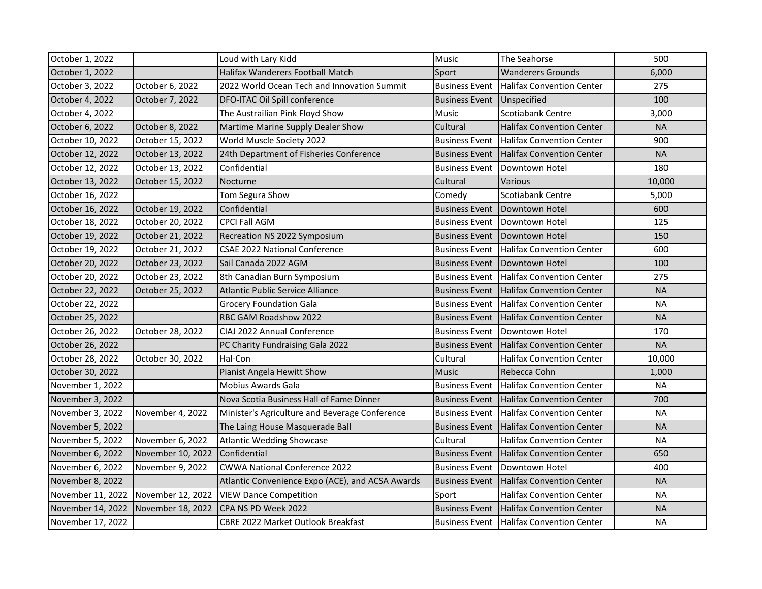| October 1, 2022   |                   | Loud with Lary Kidd                              | Music                 | The Seahorse                                      | 500       |
|-------------------|-------------------|--------------------------------------------------|-----------------------|---------------------------------------------------|-----------|
| October 1, 2022   |                   | Halifax Wanderers Football Match                 | Sport                 | <b>Wanderers Grounds</b>                          | 6,000     |
| October 3, 2022   | October 6, 2022   | 2022 World Ocean Tech and Innovation Summit      | <b>Business Event</b> | <b>Halifax Convention Center</b>                  | 275       |
| October 4, 2022   | October 7, 2022   | DFO-ITAC Oil Spill conference                    | <b>Business Event</b> | Unspecified                                       | 100       |
| October 4, 2022   |                   | The Austrailian Pink Floyd Show                  | Music                 | Scotiabank Centre                                 | 3,000     |
| October 6, 2022   | October 8, 2022   | Martime Marine Supply Dealer Show                | Cultural              | <b>Halifax Convention Center</b>                  | <b>NA</b> |
| October 10, 2022  | October 15, 2022  | World Muscle Society 2022                        | <b>Business Event</b> | <b>Halifax Convention Center</b>                  | 900       |
| October 12, 2022  | October 13, 2022  | 24th Department of Fisheries Conference          | <b>Business Event</b> | <b>Halifax Convention Center</b>                  | <b>NA</b> |
| October 12, 2022  | October 13, 2022  | Confidential                                     | <b>Business Event</b> | Downtown Hotel                                    | 180       |
| October 13, 2022  | October 15, 2022  | Nocturne                                         | Cultural              | Various                                           | 10,000    |
| October 16, 2022  |                   | Tom Segura Show                                  | Comedy                | Scotiabank Centre                                 | 5,000     |
| October 16, 2022  | October 19, 2022  | Confidential                                     | <b>Business Event</b> | Downtown Hotel                                    | 600       |
| October 18, 2022  | October 20, 2022  | <b>CPCI Fall AGM</b>                             | <b>Business Event</b> | Downtown Hotel                                    | 125       |
| October 19, 2022  | October 21, 2022  | Recreation NS 2022 Symposium                     | <b>Business Event</b> | Downtown Hotel                                    | 150       |
| October 19, 2022  | October 21, 2022  | <b>CSAE 2022 National Conference</b>             | <b>Business Event</b> | <b>Halifax Convention Center</b>                  | 600       |
| October 20, 2022  | October 23, 2022  | Sail Canada 2022 AGM                             | <b>Business Event</b> | Downtown Hotel                                    | 100       |
| October 20, 2022  | October 23, 2022  | 8th Canadian Burn Symposium                      | <b>Business Event</b> | <b>Halifax Convention Center</b>                  | 275       |
| October 22, 2022  | October 25, 2022  | Atlantic Public Service Alliance                 | <b>Business Event</b> | <b>Halifax Convention Center</b>                  | <b>NA</b> |
| October 22, 2022  |                   | <b>Grocery Foundation Gala</b>                   | <b>Business Event</b> | <b>Halifax Convention Center</b>                  | <b>NA</b> |
| October 25, 2022  |                   | RBC GAM Roadshow 2022                            | <b>Business Event</b> | <b>Halifax Convention Center</b>                  | <b>NA</b> |
| October 26, 2022  | October 28, 2022  | CIAJ 2022 Annual Conference                      | <b>Business Event</b> | <b>IDowntown Hotel</b>                            | 170       |
| October 26, 2022  |                   | PC Charity Fundraising Gala 2022                 | <b>Business Event</b> | <b>Halifax Convention Center</b>                  | <b>NA</b> |
| October 28, 2022  | October 30, 2022  | Hal-Con                                          | Cultural              | <b>Halifax Convention Center</b>                  | 10,000    |
| October 30, 2022  |                   | Pianist Angela Hewitt Show                       | <b>Music</b>          | Rebecca Cohn                                      | 1,000     |
| November 1, 2022  |                   | <b>Mobius Awards Gala</b>                        | <b>Business Event</b> | <b>Halifax Convention Center</b>                  | <b>NA</b> |
| November 3, 2022  |                   | Nova Scotia Business Hall of Fame Dinner         | <b>Business Event</b> | Halifax Convention Center                         | 700       |
| November 3, 2022  | November 4, 2022  | Minister's Agriculture and Beverage Conference   | <b>Business Event</b> | <b>Halifax Convention Center</b>                  | <b>NA</b> |
| November 5, 2022  |                   | The Laing House Masquerade Ball                  | <b>Business Event</b> | Halifax Convention Center                         | <b>NA</b> |
| November 5, 2022  | November 6, 2022  | <b>Atlantic Wedding Showcase</b>                 | Cultural              | <b>Halifax Convention Center</b>                  | <b>NA</b> |
| November 6, 2022  | November 10, 2022 | Confidential                                     | <b>Business Event</b> | <b>Halifax Convention Center</b>                  | 650       |
| November 6, 2022  | November 9, 2022  | <b>CWWA National Conference 2022</b>             | <b>Business Event</b> | Downtown Hotel                                    | 400       |
| November 8, 2022  |                   | Atlantic Convenience Expo (ACE), and ACSA Awards | <b>Business Event</b> | <b>Halifax Convention Center</b>                  | <b>NA</b> |
| November 11, 2022 | November 12, 2022 | <b>VIEW Dance Competition</b>                    | Sport                 | <b>Halifax Convention Center</b>                  | <b>NA</b> |
| November 14, 2022 | November 18, 2022 | CPA NS PD Week 2022                              | <b>Business Event</b> | <b>Halifax Convention Center</b>                  | <b>NA</b> |
| November 17, 2022 |                   | <b>CBRE 2022 Market Outlook Breakfast</b>        |                       | <b>Business Event   Halifax Convention Center</b> | <b>NA</b> |